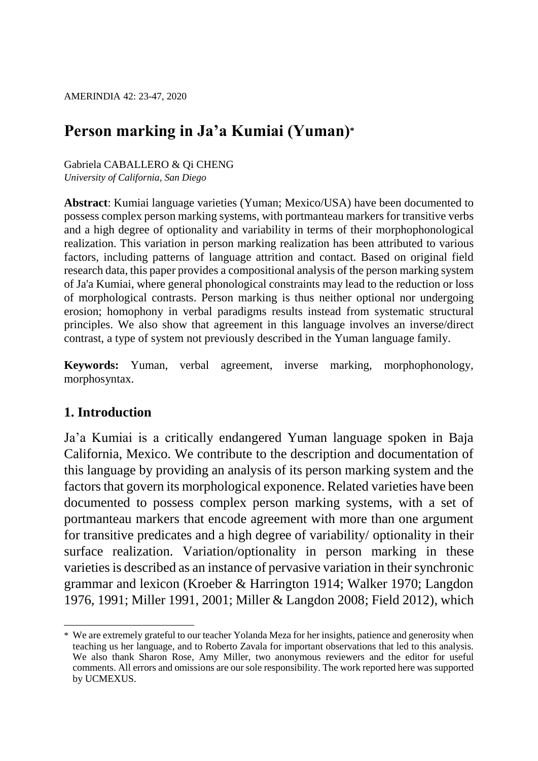# **Person marking in Ja'a Kumiai (Yuman)\***

Gabriela CABALLERO & Qi CHENG *University of California, San Diego*

**Abstract**: Kumiai language varieties (Yuman; Mexico/USA) have been documented to possess complex person marking systems, with portmanteau markers for transitive verbs and a high degree of optionality and variability in terms of their morphophonological realization. This variation in person marking realization has been attributed to various factors, including patterns of language attrition and contact. Based on original field research data, this paper provides a compositional analysis of the person marking system of Ja'a Kumiai, where general phonological constraints may lead to the reduction or loss of morphological contrasts. Person marking is thus neither optional nor undergoing erosion; homophony in verbal paradigms results instead from systematic structural principles. We also show that agreement in this language involves an inverse/direct contrast, a type of system not previously described in the Yuman language family.

**Keywords:** Yuman, verbal agreement, inverse marking, morphophonology, morphosyntax.

## **1. Introduction**

Ja'a Kumiai is a critically endangered Yuman language spoken in Baja California, Mexico. We contribute to the description and documentation of this language by providing an analysis of its person marking system and the factors that govern its morphological exponence. Related varieties have been documented to possess complex person marking systems, with a set of portmanteau markers that encode agreement with more than one argument for transitive predicates and a high degree of variability/ optionality in their surface realization. Variation/optionality in person marking in these varieties is described as an instance of pervasive variation in their synchronic grammar and lexicon (Kroeber & Harrington 1914; Walker 1970; Langdon 1976, 1991; Miller 1991, 2001; Miller & Langdon 2008; Field 2012), which

 $\overline{a}$ \* We are extremely grateful to our teacher Yolanda Meza for her insights, patience and generosity when teaching us her language, and to Roberto Zavala for important observations that led to this analysis. We also thank Sharon Rose, Amy Miller, two anonymous reviewers and the editor for useful comments. All errors and omissions are our sole responsibility. The work reported here was supported by UCMEXUS.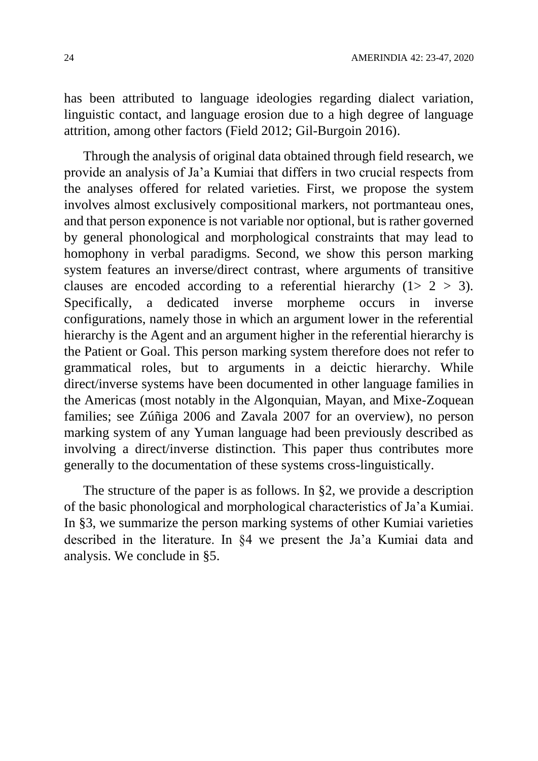has been attributed to language ideologies regarding dialect variation, linguistic contact, and language erosion due to a high degree of language attrition, among other factors (Field 2012; Gil-Burgoin 2016).

Through the analysis of original data obtained through field research, we provide an analysis of Ja'a Kumiai that differs in two crucial respects from the analyses offered for related varieties. First, we propose the system involves almost exclusively compositional markers, not portmanteau ones, and that person exponence is not variable nor optional, but is rather governed by general phonological and morphological constraints that may lead to homophony in verbal paradigms. Second, we show this person marking system features an inverse/direct contrast, where arguments of transitive clauses are encoded according to a referential hierarchy  $(1 > 2 > 3)$ . Specifically, a dedicated inverse morpheme occurs in inverse configurations, namely those in which an argument lower in the referential hierarchy is the Agent and an argument higher in the referential hierarchy is the Patient or Goal. This person marking system therefore does not refer to grammatical roles, but to arguments in a deictic hierarchy. While direct/inverse systems have been documented in other language families in the Americas (most notably in the Algonquian, Mayan, and Mixe-Zoquean families; see Zúñiga 2006 and Zavala 2007 for an overview), no person marking system of any Yuman language had been previously described as involving a direct/inverse distinction. This paper thus contributes more generally to the documentation of these systems cross-linguistically.

The structure of the paper is as follows. In §2, we provide a description of the basic phonological and morphological characteristics of Ja'a Kumiai. In §3, we summarize the person marking systems of other Kumiai varieties described in the literature. In §4 we present the Ja'a Kumiai data and analysis. We conclude in §5.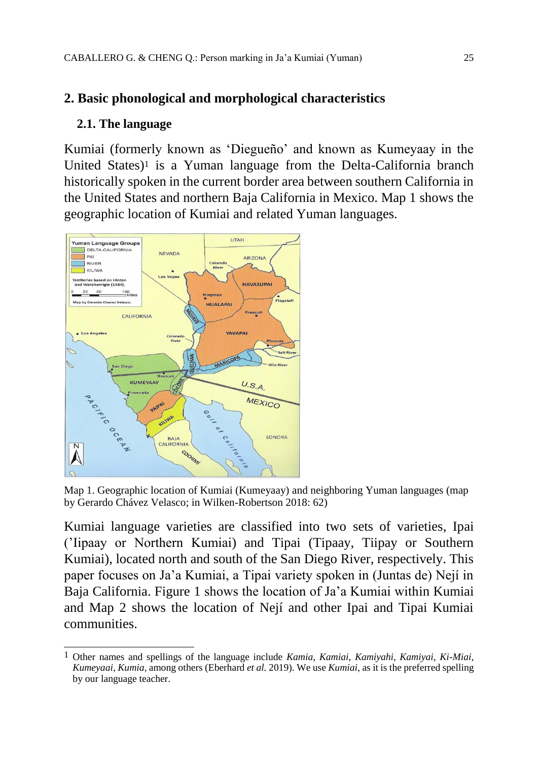# **2. Basic phonological and morphological characteristics**

### **2.1. The language**

Kumiai (formerly known as 'Diegueño' and known as Kumeyaay in the United States)<sup>1</sup> is a Yuman language from the Delta-California branch historically spoken in the current border area between southern California in the United States and northern Baja California in Mexico. Map 1 shows the geographic location of Kumiai and related Yuman languages.



Map 1. Geographic location of Kumiai (Kumeyaay) and neighboring Yuman languages (map by Gerardo Chávez Velasco; in Wilken-Robertson 2018: 62)

Kumiai language varieties are classified into two sets of varieties, Ipai ('Iipaay or Northern Kumiai) and Tipai (Tipaay, Tiipay or Southern Kumiai), located north and south of the San Diego River, respectively. This paper focuses on Ja'a Kumiai, a Tipai variety spoken in (Juntas de) Nejí in Baja California. Figure 1 shows the location of Ja'a Kumiai within Kumiai and Map 2 shows the location of Nejí and other Ipai and Tipai Kumiai communities.

 $\overline{a}$ 1 Other names and spellings of the language include *Kamia, Kamiai, Kamiyahi, Kamiyai, Ki-Miai, Kumeyaai, Kumia*, among others (Eberhard *et al.* 2019). We use *Kumiai*, as it is the preferred spelling by our language teacher.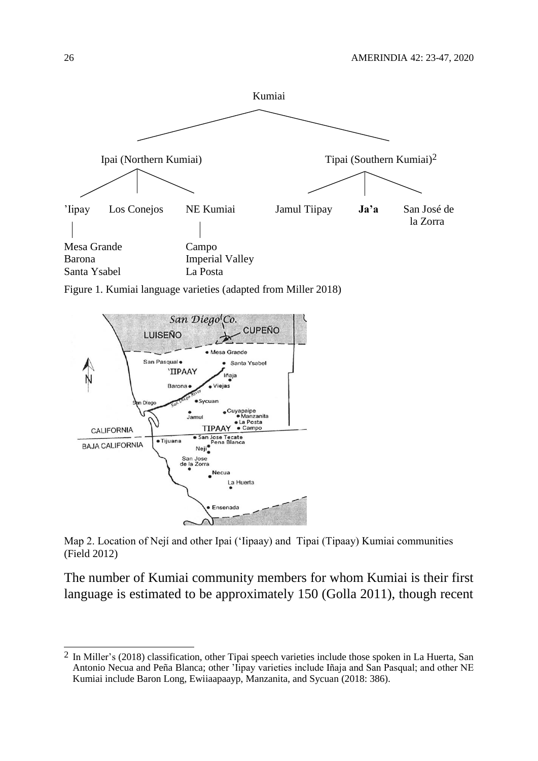

Figure 1. Kumiai language varieties (adapted from Miller 2018)



Map 2. Location of Nejí and other Ipai ('Iipaay) and Tipai (Tipaay) Kumiai communities (Field 2012)

The number of Kumiai community members for whom Kumiai is their first language is estimated to be approximately 150 (Golla 2011), though recent

 $\overline{a}$ 

 $2 \text{ In Miller's (2018) classification, other Tipai speech varieties include those spoken in La Huerta, San }$ Antonio Necua and Peña Blanca; other 'Iipay varieties include Iñaja and San Pasqual; and other NE Kumiai include Baron Long, Ewiiaapaayp, Manzanita, and Sycuan (2018: 386).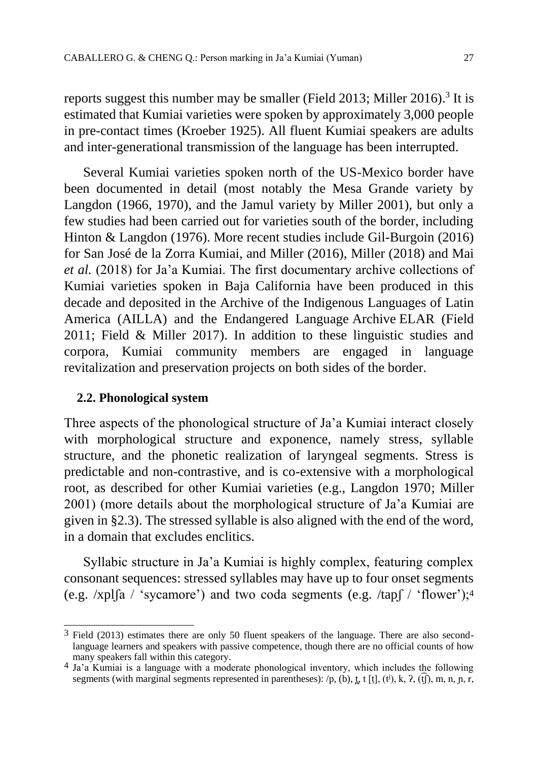reports suggest this number may be smaller (Field 2013; Miller 2016). 3 It is estimated that Kumiai varieties were spoken by approximately 3,000 people in pre-contact times (Kroeber 1925). All fluent Kumiai speakers are adults and inter-generational transmission of the language has been interrupted.

Several Kumiai varieties spoken north of the US-Mexico border have been documented in detail (most notably the Mesa Grande variety by Langdon (1966, 1970), and the Jamul variety by Miller 2001), but only a few studies had been carried out for varieties south of the border, including Hinton & Langdon (1976). More recent studies include Gil-Burgoin (2016) for San José de la Zorra Kumiai, and Miller (2016), Miller (2018) and Mai *et al.* (2018) for Ja'a Kumiai. The first documentary archive collections of Kumiai varieties spoken in Baja California have been produced in this decade and deposited in the Archive of the Indigenous Languages of Latin America (AILLA) and the Endangered Language Archive ELAR (Field 2011; Field & Miller 2017). In addition to these linguistic studies and corpora, Kumiai community members are engaged in language revitalization and preservation projects on both sides of the border.

#### **2.2. Phonological system**

Three aspects of the phonological structure of Ja'a Kumiai interact closely with morphological structure and exponence, namely stress, syllable structure, and the phonetic realization of laryngeal segments. Stress is predictable and non-contrastive, and is co-extensive with a morphological root, as described for other Kumiai varieties (e.g., Langdon 1970; Miller 2001) (more details about the morphological structure of Ja'a Kumiai are given in §2.3). The stressed syllable is also aligned with the end of the word, in a domain that excludes enclitics.

Syllabic structure in Ja'a Kumiai is highly complex, featuring complex consonant sequences: stressed syllables may have up to four onset segments (e.g. /xpl $\lceil a \rceil$  'sycamore') and two coda segments (e.g. /tap $\lceil$  / 'flower');<sup>4</sup>

 $\overline{a}$ 3 Field (2013) estimates there are only 50 fluent speakers of the language. There are also secondlanguage learners and speakers with passive competence, though there are no official counts of how many speakers fall within this category.

<sup>4</sup> Ja'a Kumiai is a language with a moderate phonological inventory, which includes the following segments (with marginal segments represented in parentheses): /p, (b), t, t [t], (t<sup>j</sup>), k, ?, (t͡j), m, n, p, r,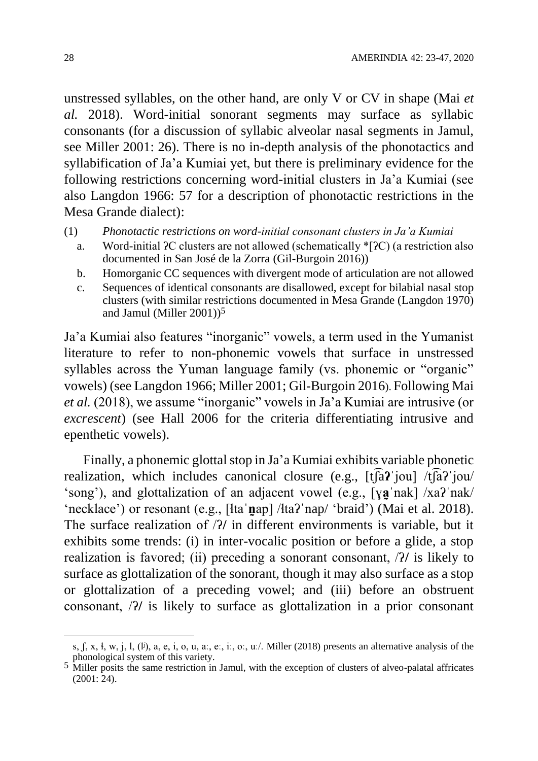unstressed syllables, on the other hand, are only V or CV in shape (Mai *et al.* 2018). Word-initial sonorant segments may surface as syllabic consonants (for a discussion of syllabic alveolar nasal segments in Jamul, see Miller 2001: 26). There is no in-depth analysis of the phonotactics and syllabification of Ja'a Kumiai yet, but there is preliminary evidence for the following restrictions concerning word-initial clusters in Ja'a Kumiai (see also Langdon 1966: 57 for a description of phonotactic restrictions in the Mesa Grande dialect):

(1) *Phonotactic restrictions on word-initial consonant clusters in Ja'a Kumiai*

- a. Word-initial ʔC clusters are not allowed (schematically \*[ʔC) (a restriction also documented in San José de la Zorra (Gil-Burgoin 2016))
- b. Homorganic CC sequences with divergent mode of articulation are not allowed
- c. Sequences of identical consonants are disallowed, except for bilabial nasal stop clusters (with similar restrictions documented in Mesa Grande (Langdon 1970) and Jamul (Miller 2001))5

Ja'a Kumiai also features "inorganic" vowels, a term used in the Yumanist literature to refer to non-phonemic vowels that surface in unstressed syllables across the Yuman language family (vs. phonemic or "organic" vowels) (see Langdon 1966; Miller 2001; Gil-Burgoin 2016). Following Mai *et al.* (2018), we assume "inorganic" vowels in Ja'a Kumiai are intrusive (or *excrescent*) (see Hall 2006 for the criteria differentiating intrusive and epenthetic vowels).

Finally, a phonemic glottal stop in Ja'a Kumiai exhibits variable phonetic realization, which includes canonical closure (e.g., [tʃ͡a**ʔ**ˈjou] /tʃ͡aʔˈjou/ 'song'), and glottalization of an adjacent vowel (e.g., [ya nak] /xa? nak/ 'necklace') or resonant (e.g., [ɬtaˈ**n̰**ap] /ɬtaʔˈnap/ 'braid') (Mai et al. 2018). The surface realization of /ʔ**/** in different environments is variable, but it exhibits some trends: (i) in inter-vocalic position or before a glide, a stop realization is favored; (ii) preceding a sonorant consonant, /ʔ**/** is likely to surface as glottalization of the sonorant, though it may also surface as a stop or glottalization of a preceding vowel; and (iii) before an obstruent consonant, /ʔ**/** is likely to surface as glottalization in a prior consonant

 $\overline{a}$ 

s, ʃ, x, ɬ, w, j, l, (lʲ), a, e, i, o, u, aː, eː, iː, oː, uː/. Miller (2018) presents an alternative analysis of the phonological system of this variety.

<sup>&</sup>lt;sup>5</sup> Miller posits the same restriction in Jamul, with the exception of clusters of alveo-palatal affricates  $(2001: 24)$ .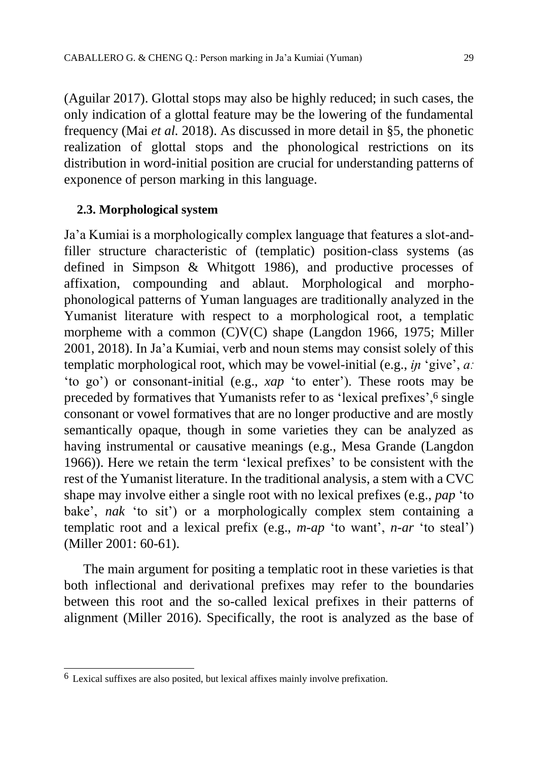(Aguilar 2017). Glottal stops may also be highly reduced; in such cases, the only indication of a glottal feature may be the lowering of the fundamental frequency (Mai *et al.* 2018). As discussed in more detail in §5, the phonetic realization of glottal stops and the phonological restrictions on its distribution in word-initial position are crucial for understanding patterns of exponence of person marking in this language.

#### **2.3. Morphological system**

Ja'a Kumiai is a morphologically complex language that features a slot-andfiller structure characteristic of (templatic) position-class systems (as defined in Simpson & Whitgott 1986), and productive processes of affixation, compounding and ablaut. Morphological and morphophonological patterns of Yuman languages are traditionally analyzed in the Yumanist literature with respect to a morphological root, a templatic morpheme with a common (C)V(C) shape (Langdon 1966, 1975; Miller 2001, 2018). In Ja'a Kumiai, verb and noun stems may consist solely of this templatic morphological root, which may be vowel-initial (e.g., *iɲ* 'give', *aː*  'to go') or consonant-initial (e.g., *xap* 'to enter'). These roots may be preceded by formatives that Yumanists refer to as 'lexical prefixes',6 single consonant or vowel formatives that are no longer productive and are mostly semantically opaque, though in some varieties they can be analyzed as having instrumental or causative meanings (e.g., Mesa Grande (Langdon 1966)). Here we retain the term 'lexical prefixes' to be consistent with the rest of the Yumanist literature. In the traditional analysis, a stem with a CVC shape may involve either a single root with no lexical prefixes (e.g., *pap* 'to bake', *nak* 'to sit') or a morphologically complex stem containing a templatic root and a lexical prefix (e.g., *m-ap* 'to want', *n-ar* 'to steal') (Miller 2001: 60-61).

The main argument for positing a templatic root in these varieties is that both inflectional and derivational prefixes may refer to the boundaries between this root and the so-called lexical prefixes in their patterns of alignment (Miller 2016). Specifically, the root is analyzed as the base of

 $\overline{a}$  $6$  Lexical suffixes are also posited, but lexical affixes mainly involve prefixation.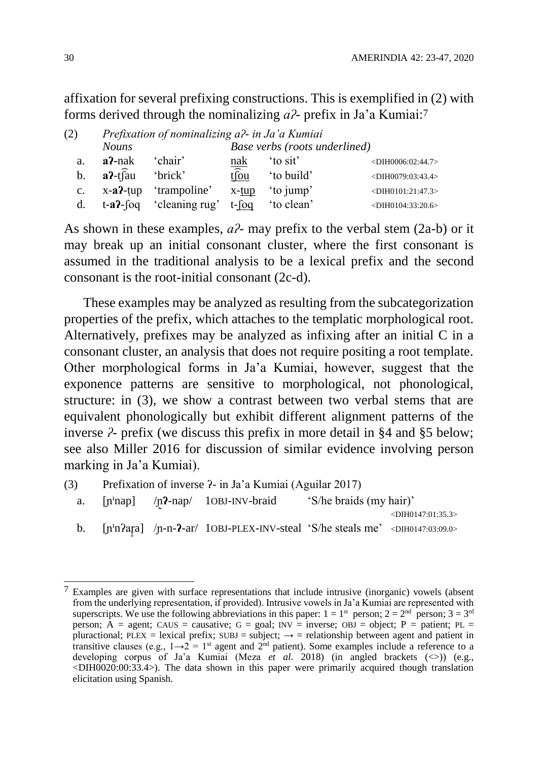affixation for several prefixing constructions. This is exemplified in (2) with forms derived through the nominalizing *aʔ-* prefix in Ja'a Kumiai: 7

| (2)            |                          | Prefixation of nominalizing a?- in Ja'a Kumiai |                         |                               |                                     |
|----------------|--------------------------|------------------------------------------------|-------------------------|-------------------------------|-------------------------------------|
|                | <b>Nouns</b>             |                                                |                         | Base verbs (roots underlined) |                                     |
| a.             | $a^2$ -nak               | 'chair'                                        | nak                     | 'to sit'                      | <dih0006:02:44.7></dih0006:02:44.7> |
| $\mathbf{b}$ . | $a^2$ -t $\widehat{a}$ u | 'brick'                                        | $t\widehat{\text{f}ou}$ | 'to build'                    | <dih0079:03:43.4></dih0079:03:43.4> |
| $c_{\cdot}$    |                          | $x-a2$ -tup 'trampoline'                       | $x$ -tup                | 'to jump'                     | <dih0101:21:47.3></dih0101:21:47.3> |
| d.             |                          | $t-a$ ?-foq 'cleaning rug' $t$ -foq 'to clean' |                         |                               | $-DIH0104:33:20.6$                  |

As shown in these examples, *aʔ-* may prefix to the verbal stem (2a-b) or it may break up an initial consonant cluster, where the first consonant is assumed in the traditional analysis to be a lexical prefix and the second consonant is the root-initial consonant (2c-d).

These examples may be analyzed as resulting from the subcategorization properties of the prefix, which attaches to the templatic morphological root. Alternatively, prefixes may be analyzed as infixing after an initial C in a consonant cluster, an analysis that does not require positing a root template. Other morphological forms in Ja'a Kumiai, however, suggest that the exponence patterns are sensitive to morphological, not phonological, structure: in (3), we show a contrast between two verbal stems that are equivalent phonologically but exhibit different alignment patterns of the inverse *ʔ-* prefix (we discuss this prefix in more detail in §4 and §5 below; see also Miller 2016 for discussion of similar evidence involving person marking in Ja'a Kumiai).

(3) Prefixation of inverse ʔ- in Ja'a Kumiai (Aguilar 2017) a. [n<sup>'</sup>nap] /n<sup>2</sup>-nap/ 1OBJ-INV-braid 'S/he braids (my hair)' <DIH0147:01:35.3> b. [n<sup>1</sup>n?ar̩a] /n-n-?-ar/ 1OBJ-PLEX-INV-steal 'S/he steals me' <DIH0147:03:09.0> ̞̥

 $\overline{a}$  $7$  Examples are given with surface representations that include intrusive (inorganic) vowels (absent from the underlying representation, if provided). Intrusive vowels in Ja'a Kumiai are represented with superscripts. We use the following abbreviations in this paper:  $1 = 1^{st}$  person;  $2 = 2^{nd}$  person;  $3 = 3^{rd}$ person; A = agent; CAUS = causative;  $G = goal$ ; INV = inverse; OBJ = object; P = patient; PL = pluractional; PLEX = lexical prefix; SUBJ = subject;  $\rightarrow$  = relationship between agent and patient in transitive clauses (e.g.,  $1\rightarrow 2 = 1$ <sup>st</sup> agent and  $2^{nd}$  patient). Some examples include a reference to a developing corpus of Ja'a Kumiai (Meza *et al.* 2018) (in angled brackets  $(\le)$ ) (e.g.,  $\leq$ DIH0020:00:33.4 $>$ ). The data shown in this paper were primarily acquired though translation elicitation using Spanish.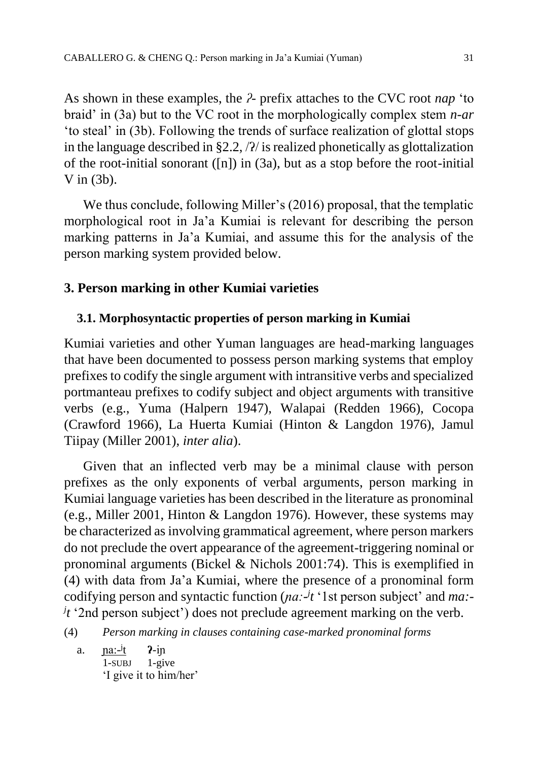As shown in these examples, the *ʔ-* prefix attaches to the CVC root *nap* 'to braid' in (3a) but to the VC root in the morphologically complex stem *n-ar*  'to steal' in (3b). Following the trends of surface realization of glottal stops in the language described in  $\S 2.2$ ,  $\frac{2}{1}$  is realized phonetically as glottalization of the root-initial sonorant ([n]) in (3a), but as a stop before the root-initial V in  $(3b)$ .

We thus conclude, following Miller's (2016) proposal, that the templatic morphological root in Ja'a Kumiai is relevant for describing the person marking patterns in Ja'a Kumiai, and assume this for the analysis of the person marking system provided below.

## **3. Person marking in other Kumiai varieties**

#### **3.1. Morphosyntactic properties of person marking in Kumiai**

Kumiai varieties and other Yuman languages are head-marking languages that have been documented to possess person marking systems that employ prefixes to codify the single argument with intransitive verbs and specialized portmanteau prefixes to codify subject and object arguments with transitive verbs (e.g., Yuma (Halpern 1947), Walapai (Redden 1966), Cocopa (Crawford 1966), La Huerta Kumiai (Hinton & Langdon 1976), Jamul Tiipay (Miller 2001), *inter alia*).

Given that an inflected verb may be a minimal clause with person prefixes as the only exponents of verbal arguments, person marking in Kumiai language varieties has been described in the literature as pronominal (e.g., Miller 2001, Hinton & Langdon 1976). However, these systems may be characterized as involving grammatical agreement, where person markers do not preclude the overt appearance of the agreement-triggering nominal or pronominal arguments (Bickel & Nichols 2001:74). This is exemplified in (4) with data from Ja'a Kumiai, where the presence of a pronominal form codifying person and syntactic function (*pa*:  $\frac{1}{t}$  '1st person subject' and *ma*:*j t* '2nd person subject') does not preclude agreement marking on the verb.

(4) *Person marking in clauses containing case-marked pronominal forms*

a. <u>na:-<sup>j</sup></u> t **ʔ**-iɲ 1-SUBJ 1-give 'I give it to him/her'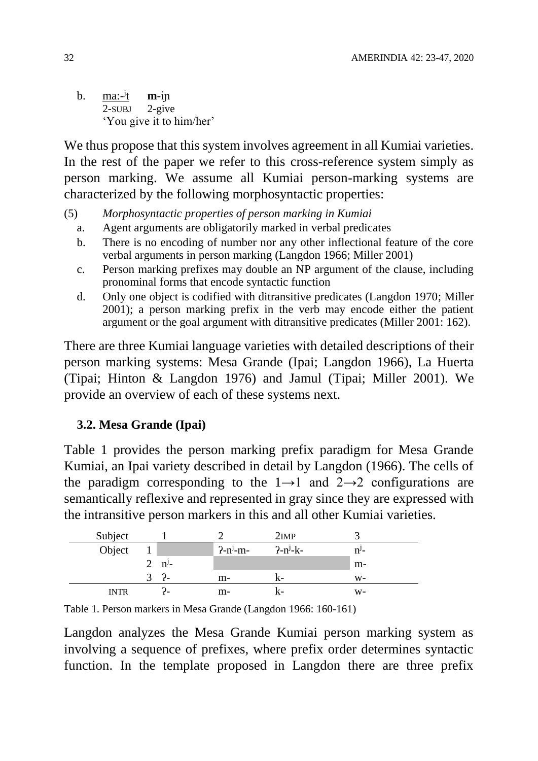b. <u>ma: <sup>j</sup></u>  $m$ -in 2-SUBJ 2-give 'You give it to him/her'

We thus propose that this system involves agreement in all Kumiai varieties. In the rest of the paper we refer to this cross-reference system simply as person marking. We assume all Kumiai person-marking systems are characterized by the following morphosyntactic properties:

- (5) *Morphosyntactic properties of person marking in Kumiai* 
	- a. Agent arguments are obligatorily marked in verbal predicates
	- b. There is no encoding of number nor any other inflectional feature of the core verbal arguments in person marking (Langdon 1966; Miller 2001)
	- c. Person marking prefixes may double an NP argument of the clause, including pronominal forms that encode syntactic function
	- d. Only one object is codified with ditransitive predicates (Langdon 1970; Miller 2001); a person marking prefix in the verb may encode either the patient argument or the goal argument with ditransitive predicates (Miller 2001: 162).

There are three Kumiai language varieties with detailed descriptions of their person marking systems: Mesa Grande (Ipai; Langdon 1966), La Huerta (Tipai; Hinton & Langdon 1976) and Jamul (Tipai; Miller 2001). We provide an overview of each of these systems next.

#### **3.2. Mesa Grande (Ipai)**

Table 1 provides the person marking prefix paradigm for Mesa Grande Kumiai, an Ipai variety described in detail by Langdon (1966). The cells of the paradigm corresponding to the  $1\rightarrow 1$  and  $2\rightarrow 2$  configurations are semantically reflexive and represented in gray since they are expressed with the intransitive person markers in this and all other Kumiai varieties.

| Subject     |                |                |               | 2IMP       |         |
|-------------|----------------|----------------|---------------|------------|---------|
| Object      |                |                | $2-n^{j}$ -m- | $2-n^j-k-$ | $n^y$ - |
|             | $\overline{2}$ | $n^{\prime}$ - |               |            | $m-$    |
|             |                | $\frac{2}{1}$  | $m-$          |            | $W-$    |
| <b>INTR</b> |                |                | m-            |            | W-      |

Table 1. Person markers in Mesa Grande (Langdon 1966: 160-161)

Langdon analyzes the Mesa Grande Kumiai person marking system as involving a sequence of prefixes, where prefix order determines syntactic function. In the template proposed in Langdon there are three prefix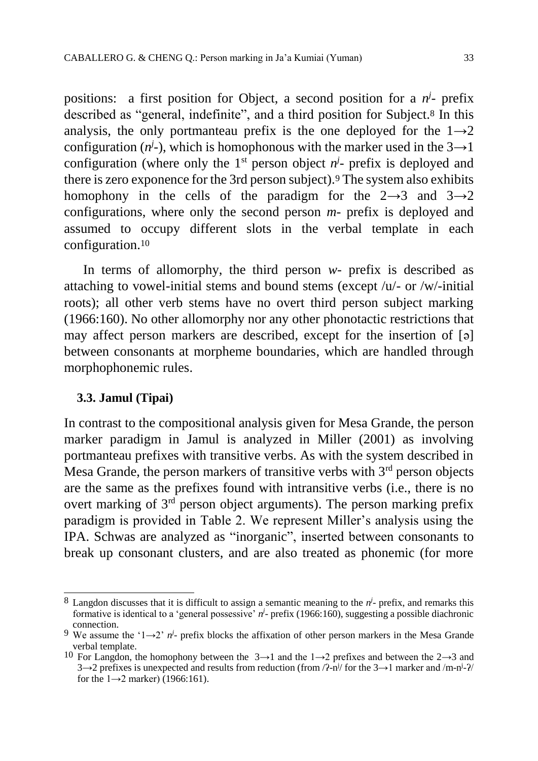positions: a first position for Object, a second position for a  $n^j$ - prefix described as "general, indefinite", and a third position for Subject.<sup>8</sup> In this analysis, the only portmanteau prefix is the one deployed for the  $1\rightarrow 2$ configuration  $(n^j)$ , which is homophonous with the marker used in the  $3\rightarrow 1$ configuration (where only the  $1<sup>st</sup>$  person object  $n<sup>j</sup>$ - prefix is deployed and there is zero exponence for the 3rd person subject).<sup>9</sup> The system also exhibits homophony in the cells of the paradigm for the  $2\rightarrow 3$  and  $3\rightarrow 2$ configurations, where only the second person *m-* prefix is deployed and assumed to occupy different slots in the verbal template in each configuration. 10

In terms of allomorphy, the third person *w-* prefix is described as attaching to vowel-initial stems and bound stems (except /u/- or /w/-initial roots); all other verb stems have no overt third person subject marking (1966:160). No other allomorphy nor any other phonotactic restrictions that may affect person markers are described, except for the insertion of [ə] between consonants at morpheme boundaries, which are handled through morphophonemic rules.

#### **3.3. Jamul (Tipai)**

In contrast to the compositional analysis given for Mesa Grande, the person marker paradigm in Jamul is analyzed in Miller (2001) as involving portmanteau prefixes with transitive verbs. As with the system described in Mesa Grande, the person markers of transitive verbs with  $3<sup>rd</sup>$  person objects are the same as the prefixes found with intransitive verbs (i.e., there is no overt marking of  $3<sup>rd</sup>$  person object arguments). The person marking prefix paradigm is provided in Table 2. We represent Miller's analysis using the IPA. Schwas are analyzed as "inorganic", inserted between consonants to break up consonant clusters, and are also treated as phonemic (for more

 $\overline{a}$  $8$  Langdon discusses that it is difficult to assign a semantic meaning to the  $n^j$ - prefix, and remarks this formative is identical to a 'general possessive'  $n^j$ - prefix (1966:160), suggesting a possible diachronic connection.

<sup>&</sup>lt;sup>9</sup> We assume the '1 $\rightarrow$ 2' *n*<sup>*j*</sup> prefix blocks the affixation of other person markers in the Mesa Grande verbal template.

<sup>&</sup>lt;sup>10</sup> For Langdon, the homophony between the  $3\rightarrow 1$  and the  $1\rightarrow 2$  prefixes and between the  $2\rightarrow 3$  and  $3\rightarrow 2$  prefixes is unexpected and results from reduction (from  $/2-n^j$  for the  $3\rightarrow 1$  marker and  $/m-n^j-2$ ) for the  $1\rightarrow 2$  marker) (1966:161).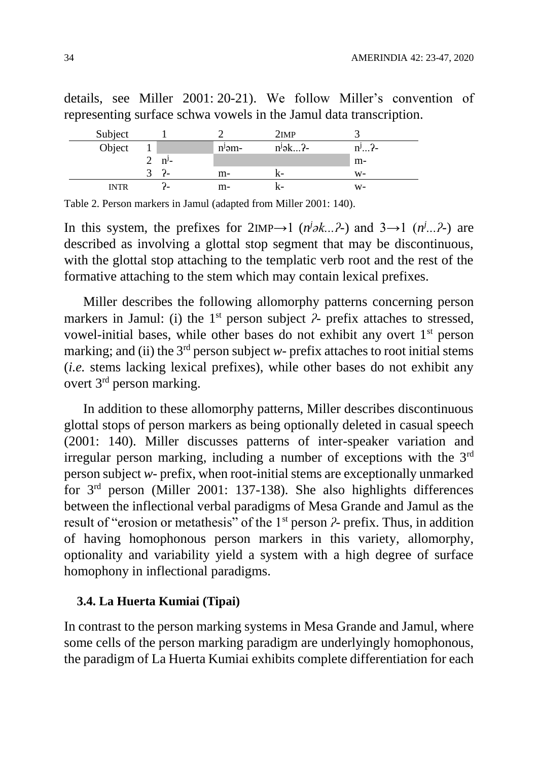details, see Miller 2001: 20-21). We follow Miller's convention of representing surface schwa vowels in the Jamul data transcription.

| Subject     |            |          | 2IMP       |          |
|-------------|------------|----------|------------|----------|
| Object      |            | $nj$ əm- | $n^j$ ək?- | $n^j2$ - |
|             | $n^{j}$ -  |          |            | $m-$     |
|             | $\epsilon$ | $m-$     |            | W-       |
| <b>INTR</b> |            | m-       |            | w-       |

Table 2. Person markers in Jamul (adapted from Miller 2001: 140).

In this system, the prefixes for  $2IMP \rightarrow 1$  ( $n^j \ge k...$ ?-) and  $3 \rightarrow 1$  ( $n^j...$ ?-) are described as involving a glottal stop segment that may be discontinuous, with the glottal stop attaching to the templatic verb root and the rest of the formative attaching to the stem which may contain lexical prefixes.

Miller describes the following allomorphy patterns concerning person markers in Jamul: (i) the 1<sup>st</sup> person subject *?*- prefix attaches to stressed, vowel-initial bases, while other bases do not exhibit any overt 1st person marking; and (ii) the  $3<sup>rd</sup>$  person subject *w*- prefix attaches to root initial stems (*i.e.* stems lacking lexical prefixes), while other bases do not exhibit any overt 3rd person marking.

In addition to these allomorphy patterns, Miller describes discontinuous glottal stops of person markers as being optionally deleted in casual speech (2001: 140). Miller discusses patterns of inter-speaker variation and irregular person marking, including a number of exceptions with the 3rd person subject *w-* prefix, when root-initial stems are exceptionally unmarked for 3rd person (Miller 2001: 137-138). She also highlights differences between the inflectional verbal paradigms of Mesa Grande and Jamul as the result of "erosion or metathesis" of the 1<sup>st</sup> person  $\lambda$ - prefix. Thus, in addition of having homophonous person markers in this variety, allomorphy, optionality and variability yield a system with a high degree of surface homophony in inflectional paradigms.

#### **3.4. La Huerta Kumiai (Tipai)**

In contrast to the person marking systems in Mesa Grande and Jamul, where some cells of the person marking paradigm are underlyingly homophonous, the paradigm of La Huerta Kumiai exhibits complete differentiation for each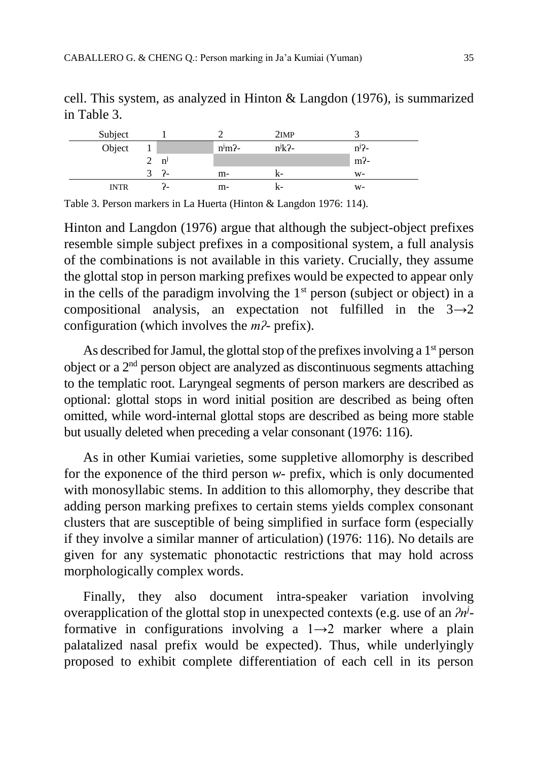| Subject     |               |                |                     | 2IMP       |                    |
|-------------|---------------|----------------|---------------------|------------|--------------------|
| Object      |               |                | $n^j$ m $\lambda$ - | $n^j k$ ?- | $n^{j}$ ?-         |
|             |               | n <sup>j</sup> |                     |            | $m$ <sup>2</sup> - |
|             | $\mathcal{R}$ | $\mathcal{L}$  | m-                  |            | $W-$               |
| <b>INTR</b> |               |                | m-                  |            | $W-$               |

cell. This system, as analyzed in Hinton & Langdon (1976), is summarized in Table 3.

Table 3. Person markers in La Huerta (Hinton & Langdon 1976: 114).

Hinton and Langdon (1976) argue that although the subject-object prefixes resemble simple subject prefixes in a compositional system, a full analysis of the combinations is not available in this variety. Crucially, they assume the glottal stop in person marking prefixes would be expected to appear only in the cells of the paradigm involving the  $1<sup>st</sup>$  person (subject or object) in a compositional analysis, an expectation not fulfilled in the  $3\rightarrow 2$ configuration (which involves the *mʔ-* prefix).

As described for Jamul, the glottal stop of the prefixes involving a 1<sup>st</sup> person object or a 2nd person object are analyzed as discontinuous segments attaching to the templatic root. Laryngeal segments of person markers are described as optional: glottal stops in word initial position are described as being often omitted, while word-internal glottal stops are described as being more stable but usually deleted when preceding a velar consonant (1976: 116).

As in other Kumiai varieties, some suppletive allomorphy is described for the exponence of the third person *w-* prefix, which is only documented with monosyllabic stems. In addition to this allomorphy, they describe that adding person marking prefixes to certain stems yields complex consonant clusters that are susceptible of being simplified in surface form (especially if they involve a similar manner of articulation) (1976: 116). No details are given for any systematic phonotactic restrictions that may hold across morphologically complex words.

Finally, they also document intra-speaker variation involving overapplication of the glottal stop in unexpected contexts (e.g. use of an *ʔn<sup>j</sup>*  formative in configurations involving a  $1\rightarrow 2$  marker where a plain palatalized nasal prefix would be expected). Thus, while underlyingly proposed to exhibit complete differentiation of each cell in its person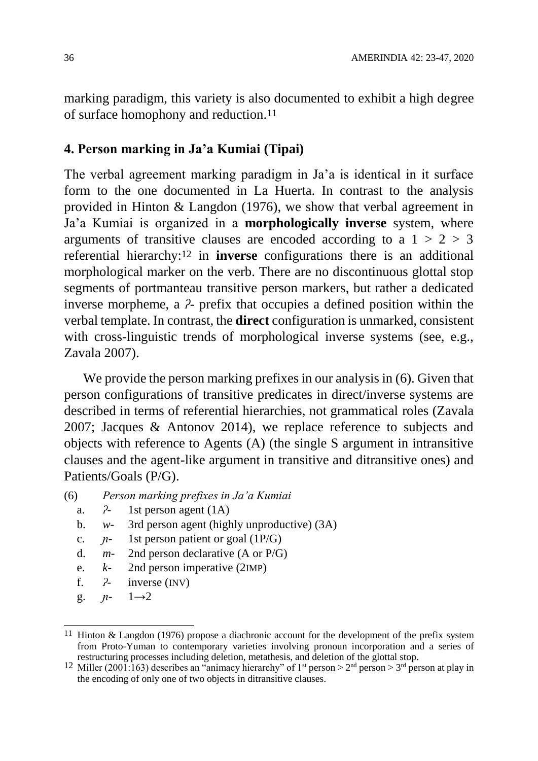marking paradigm, this variety is also documented to exhibit a high degree of surface homophony and reduction.11

## **4. Person marking in Ja'a Kumiai (Tipai)**

The verbal agreement marking paradigm in Ja'a is identical in it surface form to the one documented in La Huerta. In contrast to the analysis provided in Hinton & Langdon (1976), we show that verbal agreement in Ja'a Kumiai is organized in a **morphologically inverse** system, where arguments of transitive clauses are encoded according to a  $1 > 2 > 3$ referential hierarchy:12 in **inverse** configurations there is an additional morphological marker on the verb. There are no discontinuous glottal stop segments of portmanteau transitive person markers, but rather a dedicated inverse morpheme, a *ʔ-* prefix that occupies a defined position within the verbal template. In contrast, the **direct** configuration is unmarked, consistent with cross-linguistic trends of morphological inverse systems (see, e.g., Zavala 2007).

We provide the person marking prefixes in our analysis in  $(6)$ . Given that person configurations of transitive predicates in direct/inverse systems are described in terms of referential hierarchies, not grammatical roles (Zavala 2007; Jacques & Antonov 2014), we replace reference to subjects and objects with reference to Agents (A) (the single S argument in intransitive clauses and the agent-like argument in transitive and ditransitive ones) and Patients/Goals (P/G).

- a. *ʔ-* 1st person agent (1A)
- b. *w-* 3rd person agent (highly unproductive) (3A)
- c. *ɲ-* 1st person patient or goal (1P/G)
- d. *m-* 2nd person declarative (A or P/G)
- e. *k-* 2nd person imperative (2IMP)
- f. *ʔ-* inverse (INV)
- g. *ɲ-* 1→2

<sup>(6)</sup> *Person marking prefixes in Ja'a Kumiai*

 $\overline{a}$ 11 Hinton & Langdon (1976) propose a diachronic account for the development of the prefix system from Proto-Yuman to contemporary varieties involving pronoun incorporation and a series of restructuring processes including deletion, metathesis, and deletion of the glottal stop.

<sup>&</sup>lt;sup>12</sup> Miller (2001:163) describes an "animacy hierarchy" of 1<sup>st</sup> person > 2<sup>nd</sup> person > 3<sup>rd</sup> person at play in the encoding of only one of two objects in ditransitive clauses.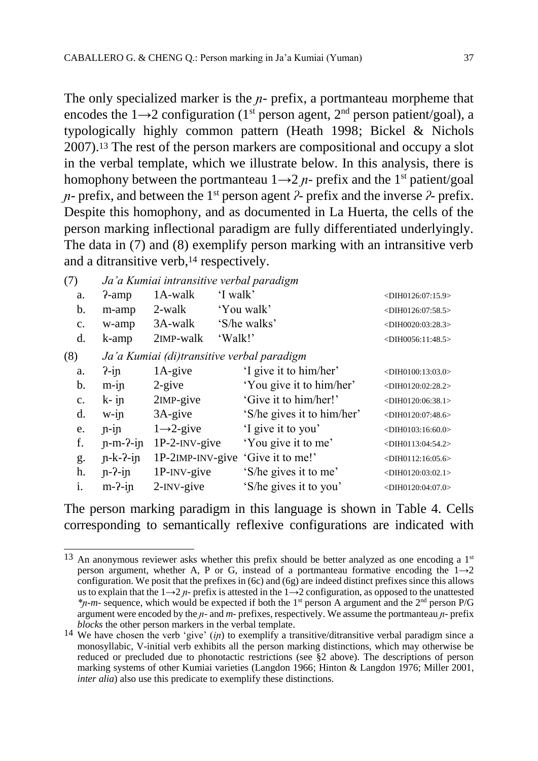The only specialized marker is the *n*- prefix, a portmanteau morpheme that encodes the  $1\rightarrow 2$  configuration (1<sup>st</sup> person agent, 2<sup>nd</sup> person patient/goal), a typologically highly common pattern (Heath 1998; Bickel & Nichols 2007).<sup>13</sup> The rest of the person markers are compositional and occupy a slot in the verbal template, which we illustrate below. In this analysis, there is homophony between the portmanteau  $1\rightarrow 2$  *n*- prefix and the 1<sup>st</sup> patient/goal *ɲ-* prefix, and between the 1st person agent *ʔ-* prefix and the inverse *ʔ-* prefix. Despite this homophony, and as documented in La Huerta, the cells of the person marking inflectional paradigm are fully differentiated underlyingly. The data in (7) and (8) exemplify person marking with an intransitive verb and a ditransitive verb,<sup>14</sup> respectively.

| (7)            |            | Ja'a Kumiai intransitive verbal paradigm   |          |                            |                            |
|----------------|------------|--------------------------------------------|----------|----------------------------|----------------------------|
| a.             | $2$ -amp   | 1A-walk                                    | 'I walk' |                            | $<$ DIH0126:07:15.9>       |
| b.             | m-amp      | 2-walk                                     |          | 'You walk'                 | $<$ DIH0126:07:58.5>       |
| $\mathbf{c}$ . | w-amp      | 3A-walk                                    |          | 'S/he walks'               | $<$ DIH0020:03:28.3>       |
| d.             | k-amp      | 2 <sub>IMP</sub> -walk                     | 'Walk!'  |                            | $<$ DIH0056:11:48.5>       |
| (8)            |            | Ja'a Kumiai (di)transitive verbal paradigm |          |                            |                            |
| a.             | $2$ -in    | $1A$ -give                                 |          | 'I give it to him/her'     | $<$ DIH0100:13:03.0>       |
| b.             | $m$ -in    | $2$ -give                                  |          | 'You give it to him/her'   | $<$ DIH0120:02:28.2>       |
| $\mathbf{c}$ . | $k$ - in   | 2IMP-give                                  |          | 'Give it to him/her!'      | $<$ DIH0120:06:38.1>       |
| d.             | $W-1$ n    | $3A$ -give                                 |          | 'S/he gives it to him/her' | $<$ DIH0120:07:48.6>       |
| e.             | $n$ -in    | $1 \rightarrow 2$ -give                    |          | 'I give it to you'         | $<$ DIH0103:16:60.0>       |
| f.             | $n-m-2-in$ | $1P-2-NV-give$                             |          | 'You give it to me'        | $\langle$ DIH0113:04:54.2> |
| g.             | $n-k-2-in$ | $1P-2IMP-INV-give$                         |          | 'Give it to me!'           | $\langle$ DIH0112:16:05.6> |
| h.             | $n-2$ -in  | $1P\text{-INV-give}$                       |          | 'S/he gives it to me'      | $<$ DIH0120:03:02.1>       |
| 1.             | $m-2$ -in  | $2$ - $\text{INV-give}$                    |          | 'S/he gives it to you'     | $<$ DIH0120:04:07.0>       |

The person marking paradigm in this language is shown in Table 4. Cells corresponding to semantically reflexive configurations are indicated with

 $\overline{a}$  $13$  An anonymous reviewer asks whether this prefix should be better analyzed as one encoding a  $1<sup>st</sup>$ person argument, whether A, P or G, instead of a portmanteau formative encoding the  $1\rightarrow 2$ configuration. We posit that the prefixes in  $(6c)$  and  $(6g)$  are indeed distinct prefixes since this allows us to explain that the  $1\rightarrow 2$  *n*- prefix is attested in the  $1\rightarrow 2$  configuration, as opposed to the unattested *\*ɲ-m-* sequence, which would be expected if both the 1st person A argument and the 2nd person P/G argument were encoded by the *ɲ-* and *m-* prefixes, respectively. We assume the portmanteau *ɲ-* prefix *blocks* the other person markers in the verbal template.

<sup>14</sup> We have chosen the verb 'give' (*iɲ*) to exemplify a transitive/ditransitive verbal paradigm since a monosyllabic, V-initial verb exhibits all the person marking distinctions, which may otherwise be reduced or precluded due to phonotactic restrictions (see §2 above). The descriptions of person marking systems of other Kumiai varieties (Langdon 1966; Hinton & Langdon 1976; Miller 2001, *inter alia*) also use this predicate to exemplify these distinctions.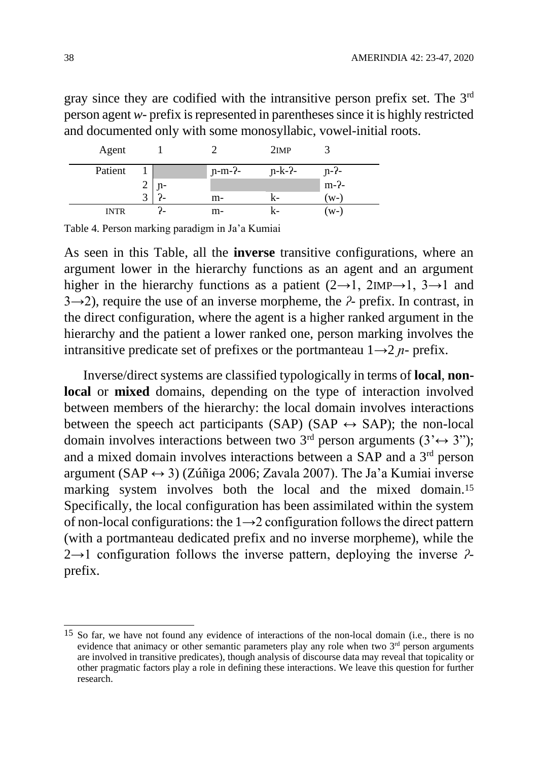gray since they are codified with the intransitive person prefix set. The 3rd person agent *w-* prefix is represented in parentheses since it is highly restricted and documented only with some monosyllabic, vowel-initial roots.

| Agent       |                |          | 2IMP     |         |  |
|-------------|----------------|----------|----------|---------|--|
| Patient     |                | $n-m-2-$ | $n-k-2-$ | $n-2$ - |  |
|             | $\mathbf{n}$ - |          |          | $m-2$ - |  |
|             |                | m-       | K-       | (w-)    |  |
| <b>INTR</b> |                | m-       |          | (w-     |  |

Table 4. Person marking paradigm in Ja'a Kumiai

As seen in this Table, all the **inverse** transitive configurations, where an argument lower in the hierarchy functions as an agent and an argument higher in the hierarchy functions as a patient  $(2\rightarrow 1, 2IMP\rightarrow 1, 3\rightarrow 1)$  and 3→2), require the use of an inverse morpheme, the *ʔ-* prefix. In contrast, in the direct configuration, where the agent is a higher ranked argument in the hierarchy and the patient a lower ranked one, person marking involves the intransitive predicate set of prefixes or the portmanteau  $1\rightarrow 2$  *n*- prefix.

Inverse/direct systems are classified typologically in terms of **local**, **nonlocal** or **mixed** domains, depending on the type of interaction involved between members of the hierarchy: the local domain involves interactions between the speech act participants (SAP) (SAP  $\leftrightarrow$  SAP); the non-local domain involves interactions between two 3<sup>rd</sup> person arguments (3' $\leftrightarrow$  3"); and a mixed domain involves interactions between a SAP and a 3rd person argument (SAP  $\leftrightarrow$  3) (Zúñiga 2006; Zavala 2007). The Ja'a Kumiai inverse marking system involves both the local and the mixed domain.<sup>15</sup> Specifically, the local configuration has been assimilated within the system of non-local configurations: the 1→2 configuration follows the direct pattern (with a portmanteau dedicated prefix and no inverse morpheme), while the 2→1 configuration follows the inverse pattern, deploying the inverse *ʔ*prefix.

 $\overline{a}$ 

<sup>&</sup>lt;sup>15</sup> So far, we have not found any evidence of interactions of the non-local domain (i.e., there is no evidence that animacy or other semantic parameters play any role when two  $3<sup>rd</sup>$  person arguments are involved in transitive predicates), though analysis of discourse data may reveal that topicality or other pragmatic factors play a role in defining these interactions. We leave this question for further research.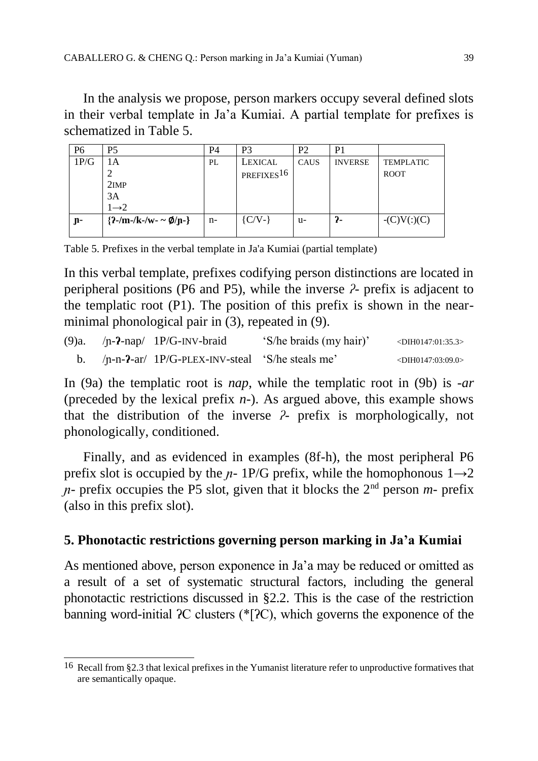In the analysis we propose, person markers occupy several defined slots in their verbal template in Ja'a Kumiai. A partial template for prefixes is schematized in Table 5.

| P6   | P <sub>5</sub>      | P4 | P3                     | P <sub>2</sub> | P <sub>1</sub> |                   |
|------|---------------------|----|------------------------|----------------|----------------|-------------------|
| 1P/G |                     | PL | LEXICAL                | CAUS           | <b>INVERSE</b> | TEMPLATIC         |
|      |                     |    | PREFIXES <sup>16</sup> |                |                | <b>ROOT</b>       |
|      | 2IMP                |    |                        |                |                |                   |
|      | 3A                  |    |                        |                |                |                   |
|      | $1\rightarrow 2$    |    |                        |                |                |                   |
| յր-  | ${2-m-k-w-\phi/n-}$ | n- | $\{C/V-\}$             | u-             | ን-             | $-(C)V($ : $)(C)$ |
|      |                     |    |                        |                |                |                   |

Table 5. Prefixes in the verbal template in Ja'a Kumiai (partial template)

In this verbal template, prefixes codifying person distinctions are located in peripheral positions (P6 and P5), while the inverse *ʔ-* prefix is adjacent to the templatic root (P1). The position of this prefix is shown in the nearminimal phonological pair in (3), repeated in (9).

|  | (9)a. $/p - 2-nap/ 1P/G-INV-braid$                | 'S/he braids (my hair)' | $\langle$ DIH0147:01:35.3> |
|--|---------------------------------------------------|-------------------------|----------------------------|
|  | $/p-n-2-ar/ 1P/G-PLEX-INV-steal$ 'S/he steals me' |                         | $\langle$ DIH0147:03:09.0> |

In (9a) the templatic root is *nap*, while the templatic root in (9b) is *-ar*  (preceded by the lexical prefix *n-*). As argued above, this example shows that the distribution of the inverse *ʔ-* prefix is morphologically, not phonologically, conditioned.

Finally, and as evidenced in examples (8f-h), the most peripheral P6 prefix slot is occupied by the  $n-1P/G$  prefix, while the homophonous  $1\rightarrow 2$  $n$ - prefix occupies the P5 slot, given that it blocks the  $2<sup>nd</sup>$  person  $m$ - prefix (also in this prefix slot).

## **5. Phonotactic restrictions governing person marking in Ja'a Kumiai**

As mentioned above, person exponence in Ja'a may be reduced or omitted as a result of a set of systematic structural factors, including the general phonotactic restrictions discussed in §2.2. This is the case of the restriction banning word-initial ʔC clusters (\*[ʔC), which governs the exponence of the

 $\overline{a}$ <sup>16</sup> Recall from §2.3 that lexical prefixes in the Yumanist literature refer to unproductive formatives that are semantically opaque.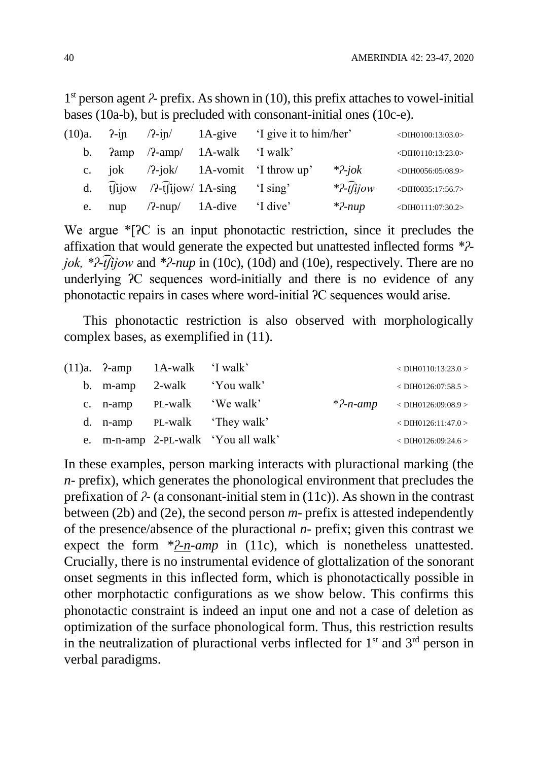1 st person agent *ʔ-* prefix. As shown in (10), this prefix attaches to vowel-initial bases (10a-b), but is precluded with consonant-initial ones (10c-e).

|    |  |                                                                                                                                                                                                                                                                                                                                                        | $(10)a$ . $2\text{-}ip$ $/2\text{-}ip$ $1A\text{-}give$ $1$ give it to him/her |                              | $\langle$ DIH0100:13:03.0> |
|----|--|--------------------------------------------------------------------------------------------------------------------------------------------------------------------------------------------------------------------------------------------------------------------------------------------------------------------------------------------------------|--------------------------------------------------------------------------------|------------------------------|----------------------------|
|    |  | b. $\lambda$ amp $/2$ -amp $/$ 1A-walk 'I walk'                                                                                                                                                                                                                                                                                                        |                                                                                |                              | $\langle$ DIH0110:13:23.0> |
|    |  |                                                                                                                                                                                                                                                                                                                                                        | c. jok $/2$ -jok $/$ 1A-vomit 'I throw up'                                     | $*2$ -jok                    | $<$ DIH0056:05:08.9>       |
|    |  | d. $\widehat{t}$ $\widehat{t}$ $\widehat{t}$ $\widehat{t}$ $\widehat{t}$ $\widehat{t}$ $\widehat{t}$ $\widehat{t}$ $\widehat{t}$ $\widehat{t}$ $\widehat{t}$ $\widehat{t}$ $\widehat{t}$ $\widehat{t}$ $\widehat{t}$ $\widehat{t}$ $\widehat{t}$ $\widehat{t}$ $\widehat{t}$ $\widehat{t}$ $\widehat{t}$ $\widehat{t}$ $\widehat{t}$ $\widehat{t}$ $\$ |                                                                                | $*2\text{-}\widehat{t}$ ijow | $<$ DIH0035:17:56.7>       |
| e. |  | nup /?-nup/ 1A-dive 'I dive'                                                                                                                                                                                                                                                                                                                           |                                                                                | $*2$ -nup                    | $\langle$ DIH0111:07:30.2> |

We argue  $\angle$ [2C is an input phonotactic restriction, since it precludes the affixation that would generate the expected but unattested inflected forms *\*ʔjok, \*ʔ-͡tʃijow* and *\*ʔ-nup* in (10c), (10d) and (10e), respectively. There are no underlying ʔC sequences word-initially and there is no evidence of any phonotactic repairs in cases where word-initial ʔC sequences would arise.

This phonotactic restriction is also observed with morphologically complex bases, as exemplified in (11).

|  | $(11)a$ . $2$ -amp $1A$ -walk $\dot{1}$ walk' |                                     | $<$ DIH0110:13:23.0 >                                            |
|--|-----------------------------------------------|-------------------------------------|------------------------------------------------------------------|
|  |                                               | b. m-amp 2-walk 'You walk'          | $<$ DIH0126:07:58.5 >                                            |
|  | c. n-amp PL-walk 'We walk'                    |                                     | *?- <i>n</i> -amp<br><br><br><dih0126:09:08.9></dih0126:09:08.9> |
|  |                                               | d. n-amp PL-walk 'They walk'        | $<$ DIH0126:11:47.0 >                                            |
|  |                                               | e. m-n-amp 2-PL-walk 'You all walk' | $<$ DIH0126:09:24.6 >                                            |

In these examples, person marking interacts with pluractional marking (the *n-* prefix), which generates the phonological environment that precludes the prefixation of *ʔ-* (a consonant-initial stem in (11c)). As shown in the contrast between (2b) and (2e), the second person *m-* prefix is attested independently of the presence/absence of the pluractional *n-* prefix; given this contrast we expect the form *\*2-n-amp* in (11c), which is nonetheless unattested. Crucially, there is no instrumental evidence of glottalization of the sonorant onset segments in this inflected form, which is phonotactically possible in other morphotactic configurations as we show below. This confirms this phonotactic constraint is indeed an input one and not a case of deletion as optimization of the surface phonological form. Thus, this restriction results in the neutralization of pluractional verbs inflected for  $1<sup>st</sup>$  and  $3<sup>rd</sup>$  person in verbal paradigms.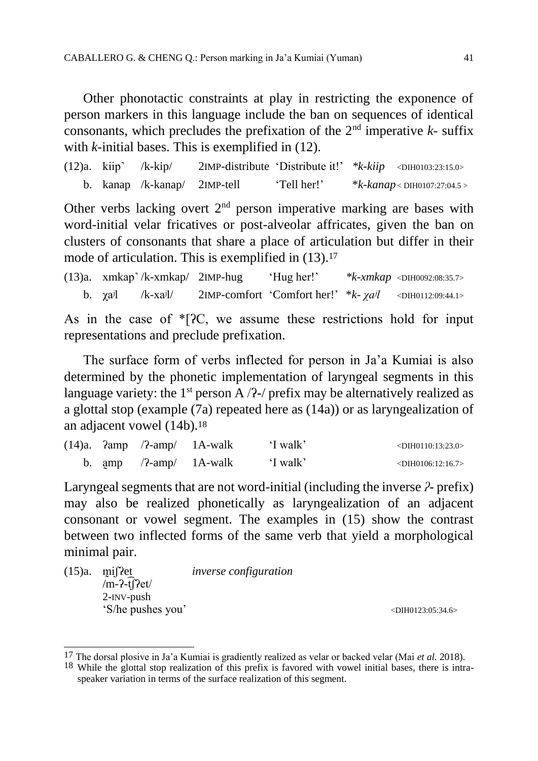Other phonotactic constraints at play in restricting the exponence of person markers in this language include the ban on sequences of identical consonants, which precludes the prefixation of the  $2<sup>nd</sup>$  imperative  $k$ - suffix with *k-*initial bases. This is exemplified in (12).

(12)a. kiip˺ /k-kip/ 2IMP-distribute 'Distribute it!' *\*k-kiip* <DIH0103:23:15.0> b. kanap /k-kanap/ 2IMP-tell 'Tell her!' \**k-kanap* < DIH0107:27:04.5 >

Other verbs lacking overt  $2<sup>nd</sup>$  person imperative marking are bases with word-initial velar fricatives or post-alveolar affricates, given the ban on clusters of consonants that share a place of articulation but differ in their mode of articulation. This is exemplified in  $(13).17$ 

(13)a. xmkap˺ /k-xmkap/ 2IMP-hug 'Hug her!' *\*k-xmkap* <DIH0092:08:35.7> b. χaʲl /k-xaʲl/ 2IMP-comfort 'Comfort her!' \**k- χaʲl* <DIH0112:09:44.1>

As in the case of  $\sqrt[*]{2}C$ , we assume these restrictions hold for input representations and preclude prefixation.

The surface form of verbs inflected for person in Ja'a Kumiai is also determined by the phonetic implementation of laryngeal segments in this language variety: the  $1^{st}$  person A  $/$ ?- $/$  prefix may be alternatively realized as a glottal stop (example (7a) repeated here as (14a)) or as laryngealization of an adjacent vowel (14b).<sup>18</sup>

|  |  | $(14)a$ . $2amp / 2-amp / 1A-walk$ T walk   | $\langle$ DIH0110:13:23.0> |
|--|--|---------------------------------------------|----------------------------|
|  |  | b. amp $/2$ -amp $/$ 1A-walk $\cdot$ T walk | $\langle$ DIH0106:12:16.7> |

Laryngeal segments that are not word-initial (including the inverse *ʔ*- prefix) may also be realized phonetically as laryngealization of an adjacent consonant or vowel segment. The examples in (15) show the contrast between two inflected forms of the same verb that yield a morphological minimal pair.

| (15)a. | $\text{m}$ issident<br>$\overline{m}$ -?-t $\overline{r}$ ?et/ | <i>inverse configuration</i> |
|--------|----------------------------------------------------------------|------------------------------|
|        | $2$ - $N$ V-push                                               |                              |
|        | 'S/he pushes you'                                              |                              |

 $\overline{a}$ 

 $\langle$ DIH0123:05:34.6>

<sup>17</sup> The dorsal plosive in Ja'a Kumiai is gradiently realized as velar or backed velar (Mai *et al.* 2018).

<sup>18</sup> While the glottal stop realization of this prefix is favored with vowel initial bases, there is intraspeaker variation in terms of the surface realization of this segment.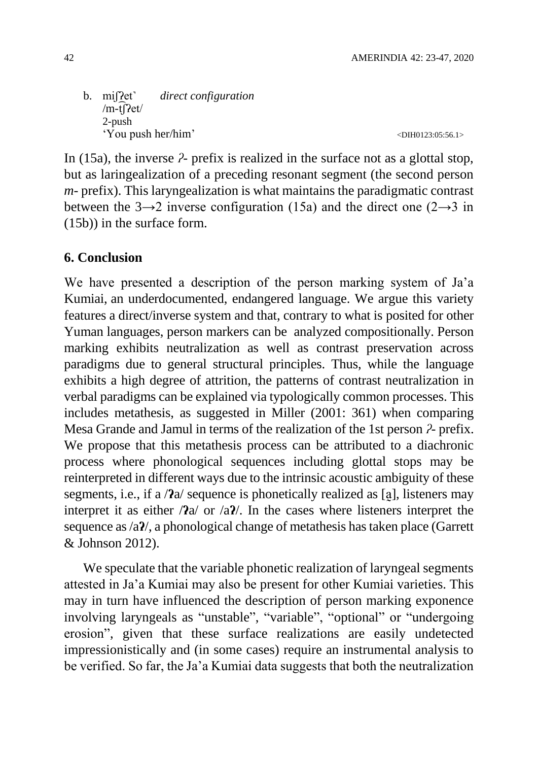b. miʃʔet˺ *direct configuration*  $/m-t$  $Pet/$ 2-push 'You push her/him'  $\leq 20H0123:05:56.1>$ 

In (15a), the inverse *ʔ*- prefix is realized in the surface not as a glottal stop, but as laringealization of a preceding resonant segment (the second person *m-* prefix). This laryngealization is what maintains the paradigmatic contrast between the 3 $\rightarrow$ 2 inverse configuration (15a) and the direct one (2 $\rightarrow$ 3 in (15b)) in the surface form.

## **6. Conclusion**

We have presented a description of the person marking system of Ja'a Kumiai, an underdocumented, endangered language. We argue this variety features a direct/inverse system and that, contrary to what is posited for other Yuman languages, person markers can be analyzed compositionally. Person marking exhibits neutralization as well as contrast preservation across paradigms due to general structural principles. Thus, while the language exhibits a high degree of attrition, the patterns of contrast neutralization in verbal paradigms can be explained via typologically common processes. This includes metathesis, as suggested in Miller (2001: 361) when comparing Mesa Grande and Jamul in terms of the realization of the 1st person *ʔ-* prefix. We propose that this metathesis process can be attributed to a diachronic process where phonological sequences including glottal stops may be reinterpreted in different ways due to the intrinsic acoustic ambiguity of these segments, i.e., if a /**ʔ**a/ sequence is phonetically realized as [a̰], listeners may interpret it as either /**ʔ**a/ or /a**ʔ**/. In the cases where listeners interpret the sequence as /a**ʔ**/, a phonological change of metathesis has taken place (Garrett & Johnson 2012).

We speculate that the variable phonetic realization of laryngeal segments attested in Ja'a Kumiai may also be present for other Kumiai varieties. This may in turn have influenced the description of person marking exponence involving laryngeals as "unstable", "variable", "optional" or "undergoing erosion", given that these surface realizations are easily undetected impressionistically and (in some cases) require an instrumental analysis to be verified. So far, the Ja'a Kumiai data suggests that both the neutralization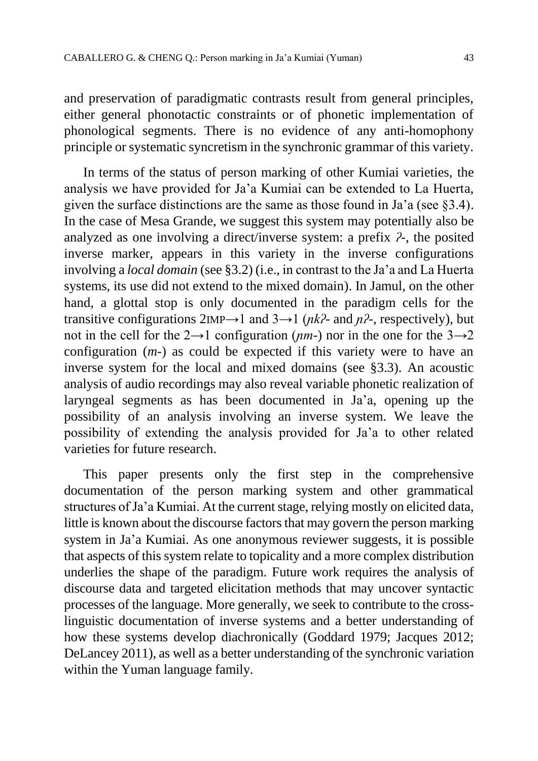and preservation of paradigmatic contrasts result from general principles, either general phonotactic constraints or of phonetic implementation of phonological segments. There is no evidence of any anti-homophony principle or systematic syncretism in the synchronic grammar of this variety.

In terms of the status of person marking of other Kumiai varieties, the analysis we have provided for Ja'a Kumiai can be extended to La Huerta, given the surface distinctions are the same as those found in Ja'a (see §3.4). In the case of Mesa Grande, we suggest this system may potentially also be analyzed as one involving a direct/inverse system: a prefix *ʔ-*, the posited inverse marker, appears in this variety in the inverse configurations involving a *local domain* (see §3.2) (i.e., in contrast to the Ja'a and La Huerta systems, its use did not extend to the mixed domain). In Jamul, on the other hand, a glottal stop is only documented in the paradigm cells for the transitive configurations  $2IMP \rightarrow 1$  and  $3 \rightarrow 1$  ( $nk$ <sup>2</sup>- and  $n$ <sup>2</sup>-, respectively), but not in the cell for the  $2\rightarrow 1$  configuration (*nm*-) nor in the one for the  $3\rightarrow 2$ configuration (*m-*) as could be expected if this variety were to have an inverse system for the local and mixed domains (see §3.3). An acoustic analysis of audio recordings may also reveal variable phonetic realization of laryngeal segments as has been documented in Ja'a, opening up the possibility of an analysis involving an inverse system. We leave the possibility of extending the analysis provided for Ja'a to other related varieties for future research.

This paper presents only the first step in the comprehensive documentation of the person marking system and other grammatical structures of Ja'a Kumiai. At the current stage, relying mostly on elicited data, little is known about the discourse factors that may govern the person marking system in Ja'a Kumiai. As one anonymous reviewer suggests, it is possible that aspects of this system relate to topicality and a more complex distribution underlies the shape of the paradigm. Future work requires the analysis of discourse data and targeted elicitation methods that may uncover syntactic processes of the language. More generally, we seek to contribute to the crosslinguistic documentation of inverse systems and a better understanding of how these systems develop diachronically (Goddard 1979; Jacques 2012; DeLancey 2011), as well as a better understanding of the synchronic variation within the Yuman language family.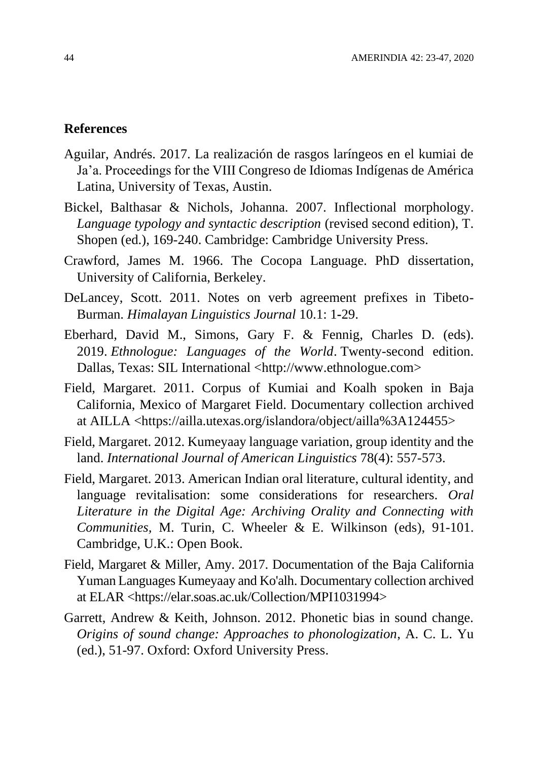#### **References**

- Aguilar, Andrés. 2017. La realización de rasgos laríngeos en el kumiai de Ja'a. Proceedings for the VIII Congreso de Idiomas Indígenas de América Latina, University of Texas, Austin.
- Bickel, Balthasar & Nichols, Johanna. 2007. Inflectional morphology. *Language typology and syntactic description* (revised second edition), T. Shopen (ed.), 169-240. Cambridge: Cambridge University Press.
- Crawford, James M. 1966. The Cocopa Language. PhD dissertation, University of California, Berkeley.
- DeLancey, Scott. 2011. Notes on verb agreement prefixes in Tibeto-Burman. *Himalayan Linguistics Journal* 10.1: 1**-**29.
- Eberhard, David M., Simons, Gary F. & Fennig, Charles D. (eds). 2019. *Ethnologue: Languages of the World*. Twenty-second edition. Dallas, Texas: SIL International [<http://www.ethnologue.com>](http://www.ethnologue.com/)
- Field, Margaret. 2011. Corpus of Kumiai and Koalh spoken in Baja California, Mexico of Margaret Field. Documentary collection archived at AILLA <https://ailla.utexas.org/islandora/object/ailla%3A124455>
- Field, Margaret. 2012. Kumeyaay language variation, group identity and the land. *International Journal of American Linguistics* 78(4): 557-573.
- Field, Margaret. 2013. American Indian oral literature, cultural identity, and language revitalisation: some considerations for researchers. *Oral Literature in the Digital Age: Archiving Orality and Connecting with Communities,* M. Turin, C. Wheeler & E. Wilkinson (eds), 91-101. Cambridge, U.K.: Open Book.
- Field, Margaret & Miller, Amy. 2017. Documentation of the Baja California Yuman Languages Kumeyaay and Ko'alh. Documentary collection archived at ELAR <https://elar.soas.ac.uk/Collection/MPI1031994>
- Garrett, Andrew & Keith, Johnson. 2012. Phonetic bias in sound change. *Origins of sound change: Approaches to phonologization*, A. C. L. Yu (ed.), 51-97. Oxford: Oxford University Press.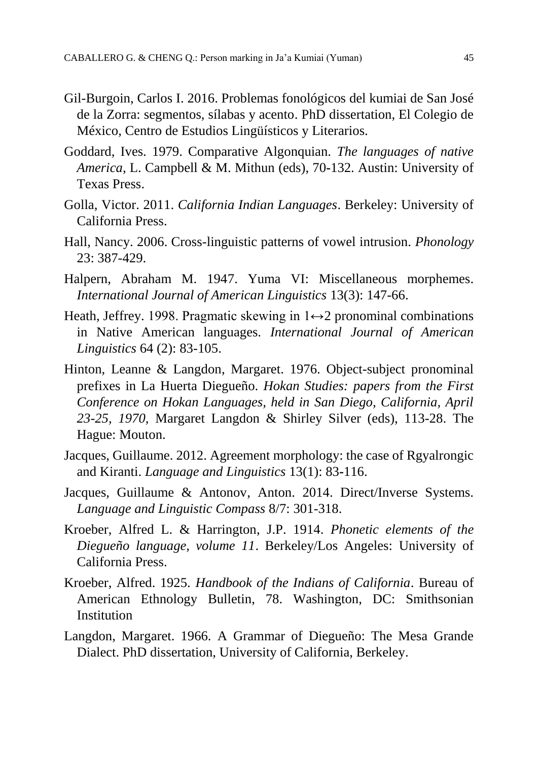- Gil-Burgoin, Carlos I. 2016. Problemas fonológicos del kumiai de San José de la Zorra: segmentos, sílabas y acento. PhD dissertation, El Colegio de México, Centro de Estudios Lingüísticos y Literarios.
- Goddard, Ives. 1979. Comparative Algonquian. *The languages of native America*, L. Campbell & M. Mithun (eds), 70**-**132. Austin: University of Texas Press.
- Golla, Victor. 2011. *California Indian Languages*. Berkeley: University of California Press.
- Hall, Nancy. 2006. Cross-linguistic patterns of vowel intrusion. *Phonology*  23: 387-429.
- Halpern, Abraham M. 1947. Yuma VI: Miscellaneous morphemes. *International Journal of American Linguistics* 13(3): 147-66.
- Heath, Jeffrey. 1998. Pragmatic skewing in  $1 \leftrightarrow 2$  pronominal combinations in Native American languages. *International Journal of American Linguistics* 64 (2): 83-105.
- Hinton, Leanne & Langdon, Margaret. 1976. Object-subject pronominal prefixes in La Huerta Diegueño. *Hokan Studies: papers from the First Conference on Hokan Languages, held in San Diego, California, April 23-25, 1970,* Margaret Langdon & Shirley Silver (eds), 113-28. The Hague: Mouton.
- Jacques, Guillaume. 2012. Agreement morphology: the case of Rgyalrongic and Kiranti. *Language and Linguistics* 13(1): 83**-**116.
- Jacques, Guillaume & Antonov, Anton. 2014. Direct/Inverse Systems. *Language and Linguistic Compass* 8/7: 301-318.
- Kroeber, Alfred L. & Harrington, J.P. 1914. *Phonetic elements of the Diegueño language, volume 11*. Berkeley/Los Angeles: University of California Press.
- Kroeber, Alfred. 1925. *Handbook of the Indians of California*. Bureau of American Ethnology Bulletin, 78. Washington, DC: Smithsonian Institution
- Langdon, Margaret. 1966. A Grammar of Diegueño: The Mesa Grande Dialect. PhD dissertation, University of California, Berkeley.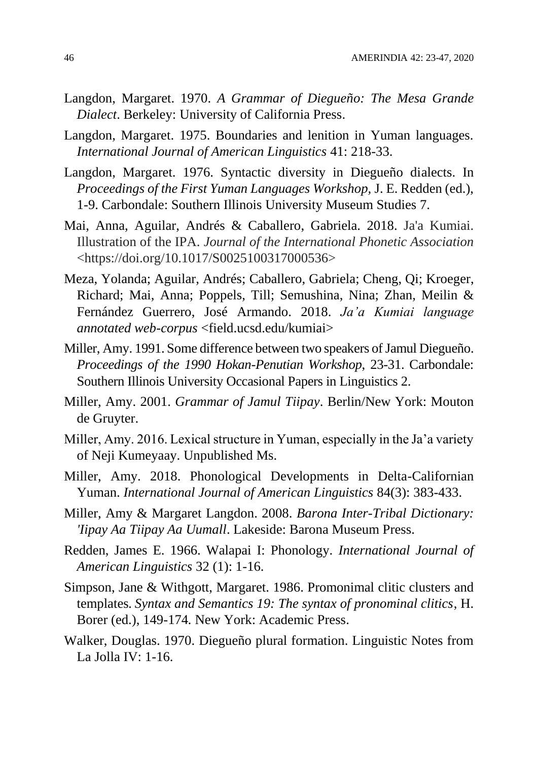- Langdon, Margaret. 1970. *A Grammar of Diegueño: The Mesa Grande Dialect*. Berkeley: University of California Press.
- Langdon, Margaret. 1975. Boundaries and lenition in Yuman languages. *International Journal of American Linguistics* 41: 218-33.
- Langdon, Margaret. 1976. Syntactic diversity in Diegueño dialects. In *Proceedings of the First Yuman Languages Workshop,* J. E. Redden (ed.), 1-9. Carbondale: Southern Illinois University Museum Studies 7.
- Mai, Anna, Aguilar, Andrés & Caballero, Gabriela. 2018. Ja'a Kumiai. Illustration of the IPA. *Journal of the International Phonetic Association* <https://doi.org/10.1017/S0025100317000536>
- Meza, Yolanda; Aguilar, Andrés; Caballero, Gabriela; Cheng, Qi; Kroeger, Richard; Mai, Anna; Poppels, Till; Semushina, Nina; Zhan, Meilin & Fernández Guerrero, José Armando. 2018. *Ja'a Kumiai language annotated web-corpus* <field.ucsd.edu/kumiai>
- Miller, Amy. 1991. Some difference between two speakers of Jamul Diegueño. *Proceedings of the 1990 Hokan-Penutian Workshop*, 23-31. Carbondale: Southern Illinois University Occasional Papers in Linguistics 2.
- Miller, Amy. 2001. *Grammar of Jamul Tiipay*. Berlin/New York: Mouton de Gruyter.
- Miller, Amy. 2016. Lexical structure in Yuman, especially in the Ja'a variety of Neji Kumeyaay. Unpublished Ms.
- Miller, Amy. 2018. Phonological Developments in Delta-Californian Yuman. *International Journal of American Linguistics* 84(3): 383-433.
- Miller, Amy & Margaret Langdon. 2008. *Barona Inter-Tribal Dictionary: 'Iipay Aa Tiipay Aa Uumall*. Lakeside: Barona Museum Press.
- Redden, James E. 1966. Walapai I: Phonology. *International Journal of American Linguistics* 32 (1): 1-16.
- Simpson, Jane & Withgott, Margaret. 1986. Promonimal clitic clusters and templates*. Syntax and Semantics 19: The syntax of pronominal clitics*, H. Borer (ed.), 149-174*.* New York: Academic Press.
- Walker, Douglas. 1970. Diegueño plural formation. Linguistic Notes from La Jolla IV: 1-16.